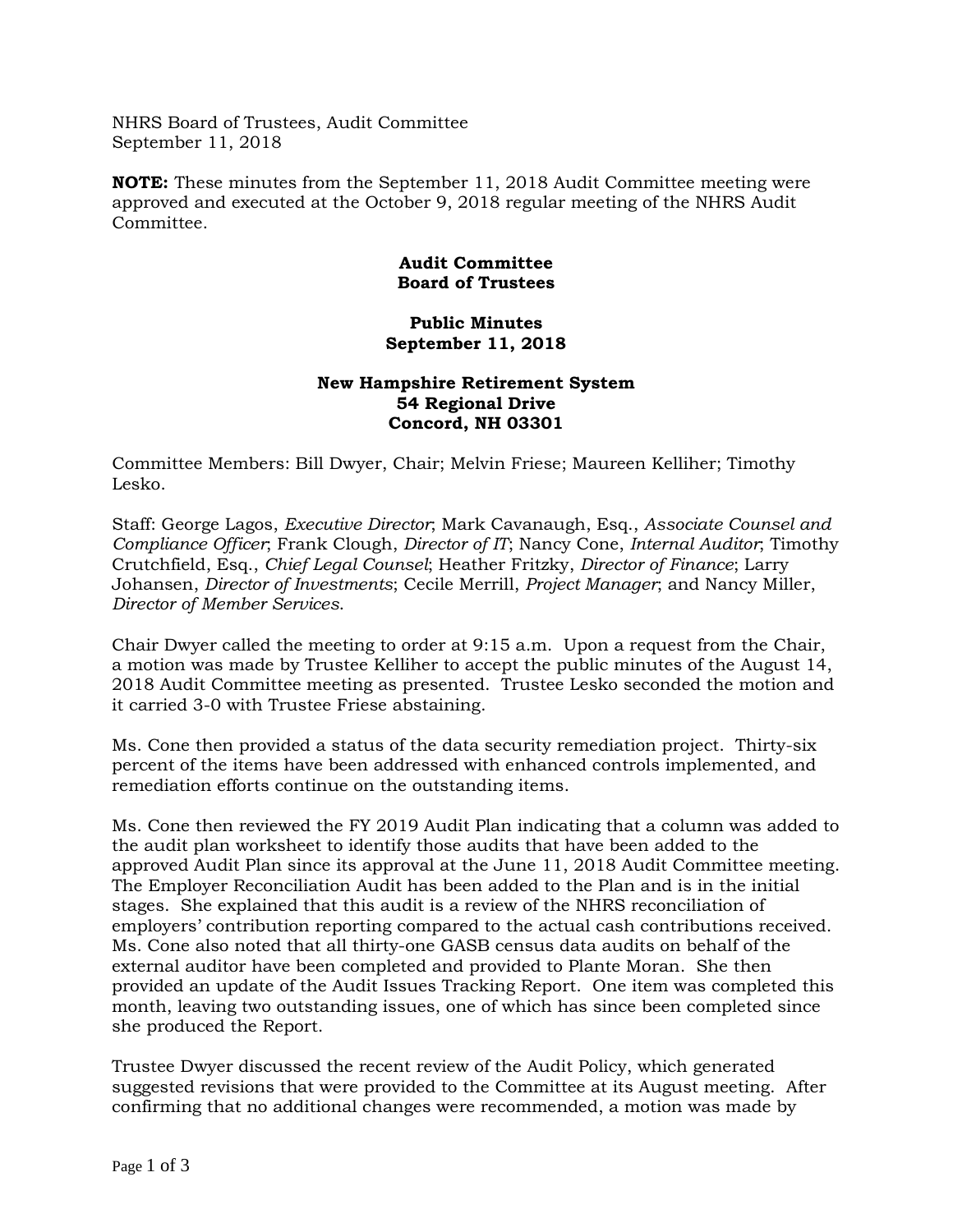NHRS Board of Trustees, Audit Committee September 11, 2018

**NOTE:** These minutes from the September 11, 2018 Audit Committee meeting were approved and executed at the October 9, 2018 regular meeting of the NHRS Audit Committee.

## **Audit Committee Board of Trustees**

## **Public Minutes September 11, 2018**

## **New Hampshire Retirement System 54 Regional Drive Concord, NH 03301**

Committee Members: Bill Dwyer, Chair; Melvin Friese; Maureen Kelliher; Timothy Lesko.

Staff: George Lagos, *Executive Director*; Mark Cavanaugh, Esq., *Associate Counsel and Compliance Officer*; Frank Clough, *Director of IT*; Nancy Cone, *Internal Auditor*; Timothy Crutchfield, Esq., *Chief Legal Counsel*; Heather Fritzky, *Director of Finance*; Larry Johansen, *Director of Investments*; Cecile Merrill, *Project Manager*; and Nancy Miller, *Director of Member Services*.

Chair Dwyer called the meeting to order at 9:15 a.m. Upon a request from the Chair, a motion was made by Trustee Kelliher to accept the public minutes of the August 14, 2018 Audit Committee meeting as presented. Trustee Lesko seconded the motion and it carried 3-0 with Trustee Friese abstaining.

Ms. Cone then provided a status of the data security remediation project. Thirty-six percent of the items have been addressed with enhanced controls implemented, and remediation efforts continue on the outstanding items.

Ms. Cone then reviewed the FY 2019 Audit Plan indicating that a column was added to the audit plan worksheet to identify those audits that have been added to the approved Audit Plan since its approval at the June 11, 2018 Audit Committee meeting. The Employer Reconciliation Audit has been added to the Plan and is in the initial stages. She explained that this audit is a review of the NHRS reconciliation of employers' contribution reporting compared to the actual cash contributions received. Ms. Cone also noted that all thirty-one GASB census data audits on behalf of the external auditor have been completed and provided to Plante Moran. She then provided an update of the Audit Issues Tracking Report. One item was completed this month, leaving two outstanding issues, one of which has since been completed since she produced the Report.

Trustee Dwyer discussed the recent review of the Audit Policy, which generated suggested revisions that were provided to the Committee at its August meeting. After confirming that no additional changes were recommended, a motion was made by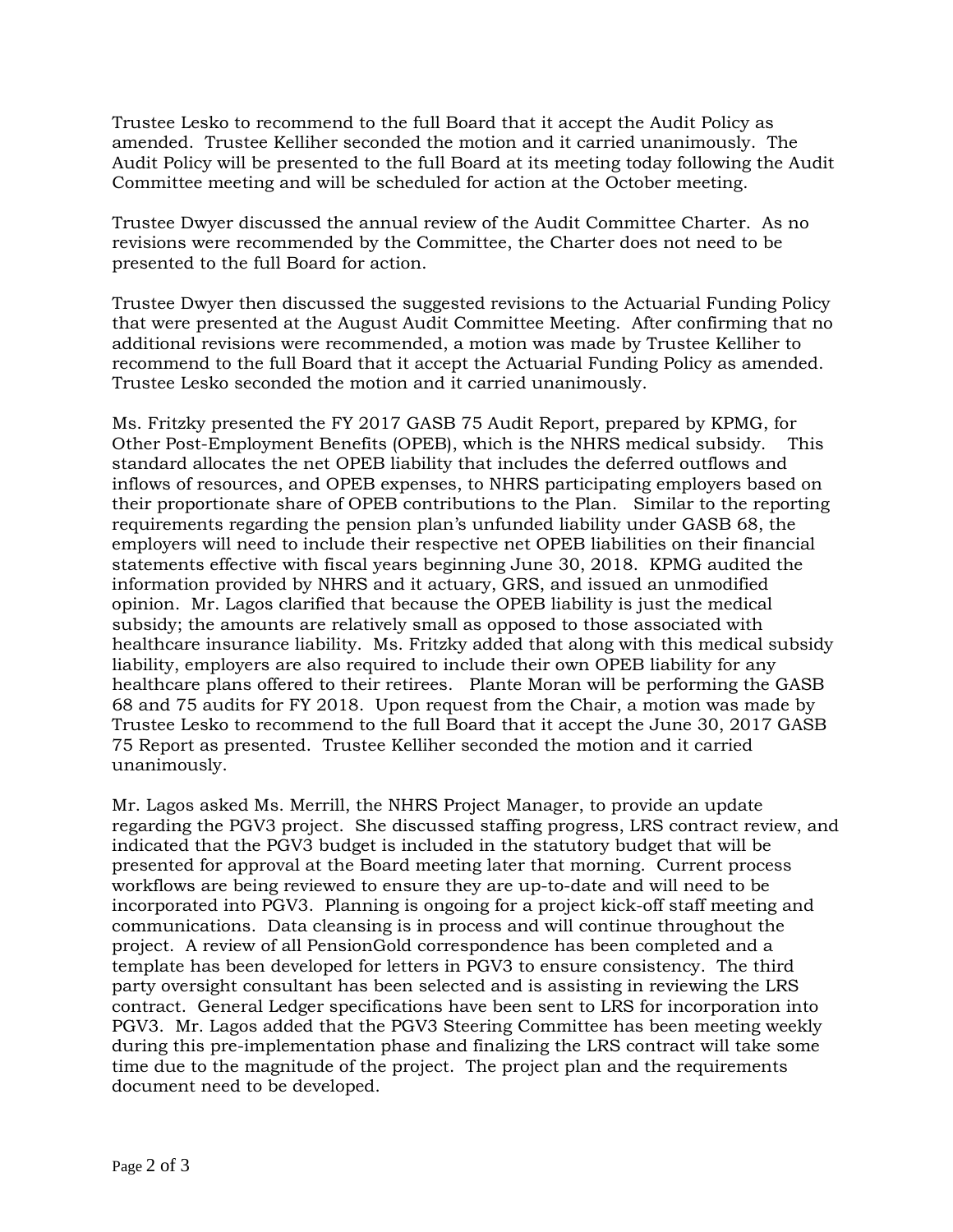Trustee Lesko to recommend to the full Board that it accept the Audit Policy as amended. Trustee Kelliher seconded the motion and it carried unanimously. The Audit Policy will be presented to the full Board at its meeting today following the Audit Committee meeting and will be scheduled for action at the October meeting.

Trustee Dwyer discussed the annual review of the Audit Committee Charter. As no revisions were recommended by the Committee, the Charter does not need to be presented to the full Board for action.

Trustee Dwyer then discussed the suggested revisions to the Actuarial Funding Policy that were presented at the August Audit Committee Meeting. After confirming that no additional revisions were recommended, a motion was made by Trustee Kelliher to recommend to the full Board that it accept the Actuarial Funding Policy as amended. Trustee Lesko seconded the motion and it carried unanimously.

Ms. Fritzky presented the FY 2017 GASB 75 Audit Report, prepared by KPMG, for Other Post-Employment Benefits (OPEB), which is the NHRS medical subsidy. This standard allocates the net OPEB liability that includes the deferred outflows and inflows of resources, and OPEB expenses, to NHRS participating employers based on their proportionate share of OPEB contributions to the Plan. Similar to the reporting requirements regarding the pension plan's unfunded liability under GASB 68, the employers will need to include their respective net OPEB liabilities on their financial statements effective with fiscal years beginning June 30, 2018. KPMG audited the information provided by NHRS and it actuary, GRS, and issued an unmodified opinion. Mr. Lagos clarified that because the OPEB liability is just the medical subsidy; the amounts are relatively small as opposed to those associated with healthcare insurance liability. Ms. Fritzky added that along with this medical subsidy liability, employers are also required to include their own OPEB liability for any healthcare plans offered to their retirees. Plante Moran will be performing the GASB 68 and 75 audits for FY 2018. Upon request from the Chair, a motion was made by Trustee Lesko to recommend to the full Board that it accept the June 30, 2017 GASB 75 Report as presented. Trustee Kelliher seconded the motion and it carried unanimously.

Mr. Lagos asked Ms. Merrill, the NHRS Project Manager, to provide an update regarding the PGV3 project. She discussed staffing progress, LRS contract review, and indicated that the PGV3 budget is included in the statutory budget that will be presented for approval at the Board meeting later that morning. Current process workflows are being reviewed to ensure they are up-to-date and will need to be incorporated into PGV3. Planning is ongoing for a project kick-off staff meeting and communications. Data cleansing is in process and will continue throughout the project. A review of all PensionGold correspondence has been completed and a template has been developed for letters in PGV3 to ensure consistency. The third party oversight consultant has been selected and is assisting in reviewing the LRS contract. General Ledger specifications have been sent to LRS for incorporation into PGV3. Mr. Lagos added that the PGV3 Steering Committee has been meeting weekly during this pre-implementation phase and finalizing the LRS contract will take some time due to the magnitude of the project. The project plan and the requirements document need to be developed.